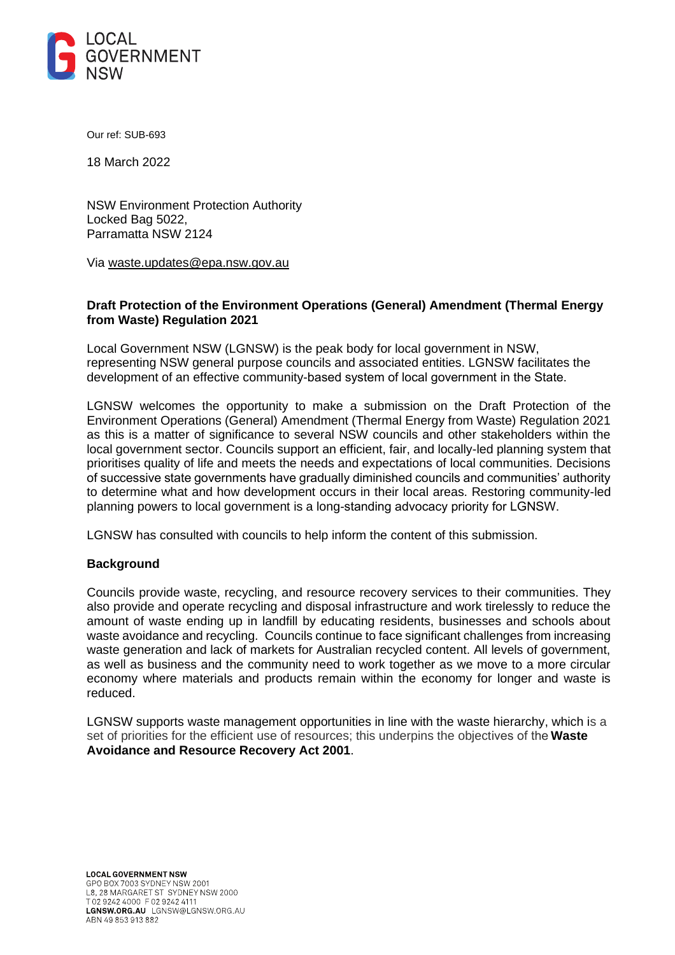

Our ref: SUB-693

18 March 2022

NSW Environment Protection Authority Locked Bag 5022, Parramatta NSW 2124

Via [waste.updates@epa.nsw.gov.au](mailto:waste.updates@epa.nsw.gov.au)

# **Draft Protection of the Environment Operations (General) Amendment (Thermal Energy from Waste) Regulation 2021**

Local Government NSW (LGNSW) is the peak body for local government in NSW, representing NSW general purpose councils and associated entities. LGNSW facilitates the development of an effective community-based system of local government in the State. 

LGNSW welcomes the opportunity to make a submission on the Draft Protection of the Environment Operations (General) Amendment (Thermal Energy from Waste) Regulation 2021 as this is a matter of significance to several NSW councils and other stakeholders within the local government sector. Councils support an efficient, fair, and locally-led planning system that prioritises quality of life and meets the needs and expectations of local communities. Decisions of successive state governments have gradually diminished councils and communities' authority to determine what and how development occurs in their local areas. Restoring community-led planning powers to local government is a long-standing advocacy priority for LGNSW. 

LGNSW has consulted with councils to help inform the content of this submission.

#### **Background**

Councils provide waste, recycling, and resource recovery services to their communities. They also provide and operate recycling and disposal infrastructure and work tirelessly to reduce the amount of waste ending up in landfill by educating residents, businesses and schools about waste avoidance and recycling. Councils continue to face significant challenges from increasing waste generation and lack of markets for Australian recycled content. All levels of government, as well as business and the community need to work together as we move to a more circular economy where materials and products remain within the economy for longer and waste is reduced.

LGNSW supports waste management opportunities in line with the waste hierarchy, which is a set of priorities for the efficient use of resources; this underpins the objectives of the **[Waste](https://www.epa.nsw.gov.au/legislation/Actsummaries.htm#waarra)  [Avoidance and Resource Recovery Act 2001](https://www.epa.nsw.gov.au/legislation/Actsummaries.htm#waarra)**.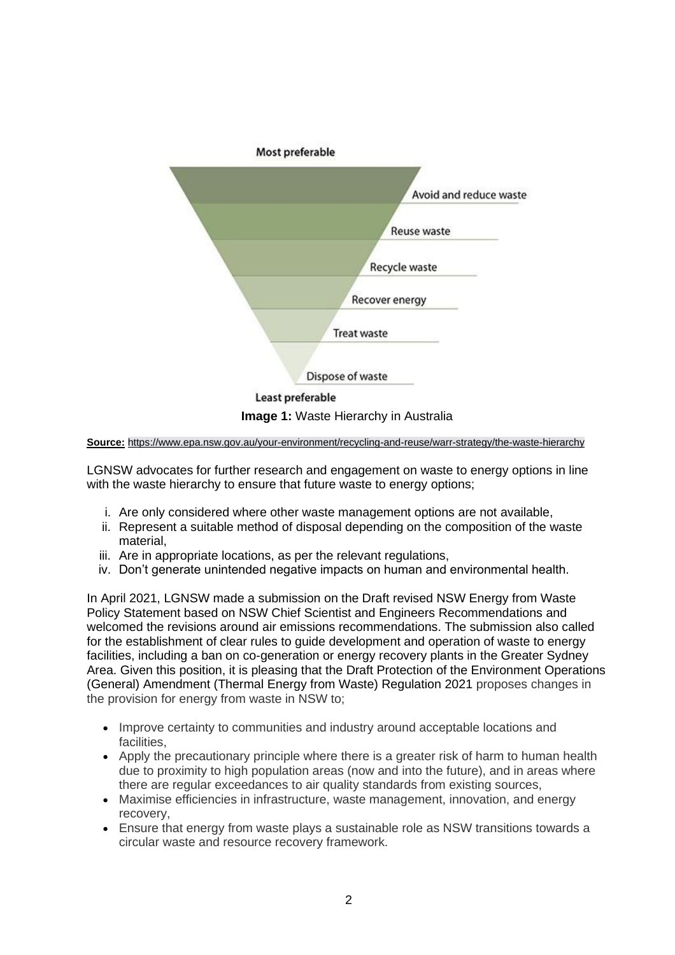

**Source:** <https://www.epa.nsw.gov.au/your-environment/recycling-and-reuse/warr-strategy/the-waste-hierarchy>

LGNSW advocates for further research and engagement on waste to energy options in line with the waste hierarchy to ensure that future waste to energy options;

- i. Are only considered where other waste management options are not available,
- ii. Represent a suitable method of disposal depending on the composition of the waste material,
- iii. Are in appropriate locations, as per the relevant regulations,
- iv. Don't generate unintended negative impacts on human and environmental health.

In April 2021, LGNSW made a submission on the Draft revised NSW Energy from Waste Policy Statement based on NSW Chief Scientist and Engineers Recommendations and welcomed the revisions around air emissions recommendations. The submission also called for the establishment of clear rules to guide development and operation of waste to energy facilities, including a ban on co-generation or energy recovery plants in the Greater Sydney Area. Given this position, it is pleasing that the Draft Protection of the Environment Operations (General) Amendment (Thermal Energy from Waste) Regulation 2021 proposes changes in the provision for energy from waste in NSW to;

- Improve certainty to communities and industry around acceptable locations and facilities,
- Apply the precautionary principle where there is a greater risk of harm to human health due to proximity to high population areas (now and into the future), and in areas where there are regular exceedances to air quality standards from existing sources,
- Maximise efficiencies in infrastructure, waste management, innovation, and energy recovery,
- Ensure that energy from waste plays a sustainable role as NSW transitions towards a circular waste and resource recovery framework.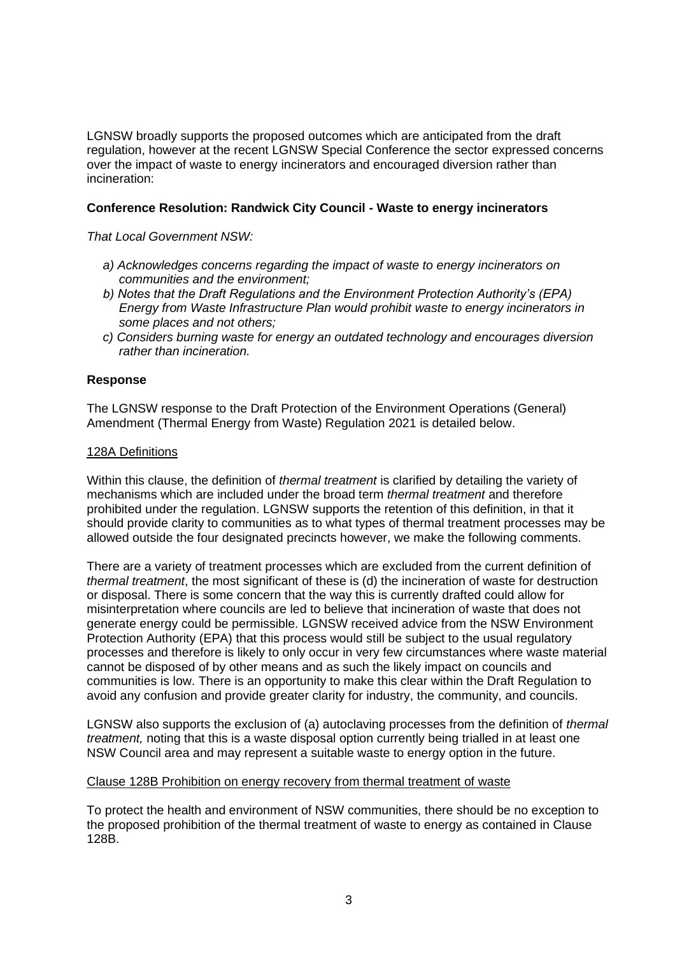LGNSW broadly supports the proposed outcomes which are anticipated from the draft regulation, however at the recent LGNSW Special Conference the sector expressed concerns over the impact of waste to energy incinerators and encouraged diversion rather than incineration:

# **Conference Resolution: Randwick City Council - Waste to energy incinerators**

*That Local Government NSW:* 

- *a) Acknowledges concerns regarding the impact of waste to energy incinerators on communities and the environment;*
- *b) Notes that the Draft Regulations and the Environment Protection Authority's (EPA) Energy from Waste Infrastructure Plan would prohibit waste to energy incinerators in some places and not others;*
- *c) Considers burning waste for energy an outdated technology and encourages diversion rather than incineration.*

#### **Response**

The LGNSW response to the Draft Protection of the Environment Operations (General) Amendment (Thermal Energy from Waste) Regulation 2021 is detailed below.

#### 128A Definitions

Within this clause, the definition of *thermal treatment* is clarified by detailing the variety of mechanisms which are included under the broad term *thermal treatment* and therefore prohibited under the regulation. LGNSW supports the retention of this definition, in that it should provide clarity to communities as to what types of thermal treatment processes may be allowed outside the four designated precincts however, we make the following comments.

There are a variety of treatment processes which are excluded from the current definition of *thermal treatment*, the most significant of these is (d) the incineration of waste for destruction or disposal. There is some concern that the way this is currently drafted could allow for misinterpretation where councils are led to believe that incineration of waste that does not generate energy could be permissible. LGNSW received advice from the NSW Environment Protection Authority (EPA) that this process would still be subject to the usual regulatory processes and therefore is likely to only occur in very few circumstances where waste material cannot be disposed of by other means and as such the likely impact on councils and communities is low. There is an opportunity to make this clear within the Draft Regulation to avoid any confusion and provide greater clarity for industry, the community, and councils.

LGNSW also supports the exclusion of (a) autoclaving processes from the definition of *thermal treatment,* noting that this is a waste disposal option currently being trialled in at least one NSW Council area and may represent a suitable waste to energy option in the future.

#### Clause 128B Prohibition on energy recovery from thermal treatment of waste

To protect the health and environment of NSW communities, there should be no exception to the proposed prohibition of the thermal treatment of waste to energy as contained in Clause 128B.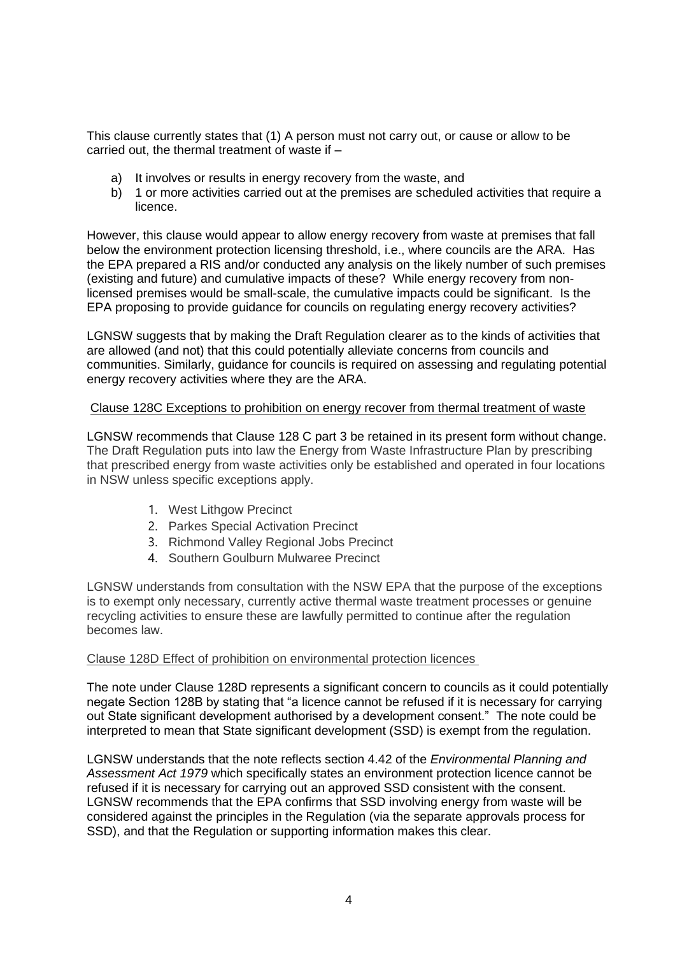This clause currently states that (1) A person must not carry out, or cause or allow to be carried out, the thermal treatment of waste if –

- a) It involves or results in energy recovery from the waste, and
- b) 1 or more activities carried out at the premises are scheduled activities that require a licence.

However, this clause would appear to allow energy recovery from waste at premises that fall below the environment protection licensing threshold, i.e., where councils are the ARA. Has the EPA prepared a RIS and/or conducted any analysis on the likely number of such premises (existing and future) and cumulative impacts of these? While energy recovery from nonlicensed premises would be small-scale, the cumulative impacts could be significant. Is the EPA proposing to provide guidance for councils on regulating energy recovery activities?

LGNSW suggests that by making the Draft Regulation clearer as to the kinds of activities that are allowed (and not) that this could potentially alleviate concerns from councils and communities. Similarly, guidance for councils is required on assessing and regulating potential energy recovery activities where they are the ARA.

### Clause 128C Exceptions to prohibition on energy recover from thermal treatment of waste

LGNSW recommends that Clause 128 C part 3 be retained in its present form without change. The Draft Regulation puts into law the Energy from Waste Infrastructure Plan by prescribing that prescribed energy from waste activities only be established and operated in four locations in NSW unless specific exceptions apply.

- 1. West Lithgow Precinct
- 2. Parkes Special Activation Precinct
- 3. Richmond Valley Regional Jobs Precinct
- 4. Southern Goulburn Mulwaree Precinct

LGNSW understands from consultation with the NSW EPA that the purpose of the exceptions is to exempt only necessary, currently active thermal waste treatment processes or genuine recycling activities to ensure these are lawfully permitted to continue after the regulation becomes law.

#### Clause 128D Effect of prohibition on environmental protection licences

The note under Clause 128D represents a significant concern to councils as it could potentially negate Section 128B by stating that "a licence cannot be refused if it is necessary for carrying out State significant development authorised by a development consent." The note could be interpreted to mean that State significant development (SSD) is exempt from the regulation.

LGNSW understands that the note reflects section 4.42 of the *Environmental Planning and Assessment Act 1979* which specifically states an environment protection licence cannot be refused if it is necessary for carrying out an approved SSD consistent with the consent. LGNSW recommends that the EPA confirms that SSD involving energy from waste will be considered against the principles in the Regulation (via the separate approvals process for SSD), and that the Regulation or supporting information makes this clear.